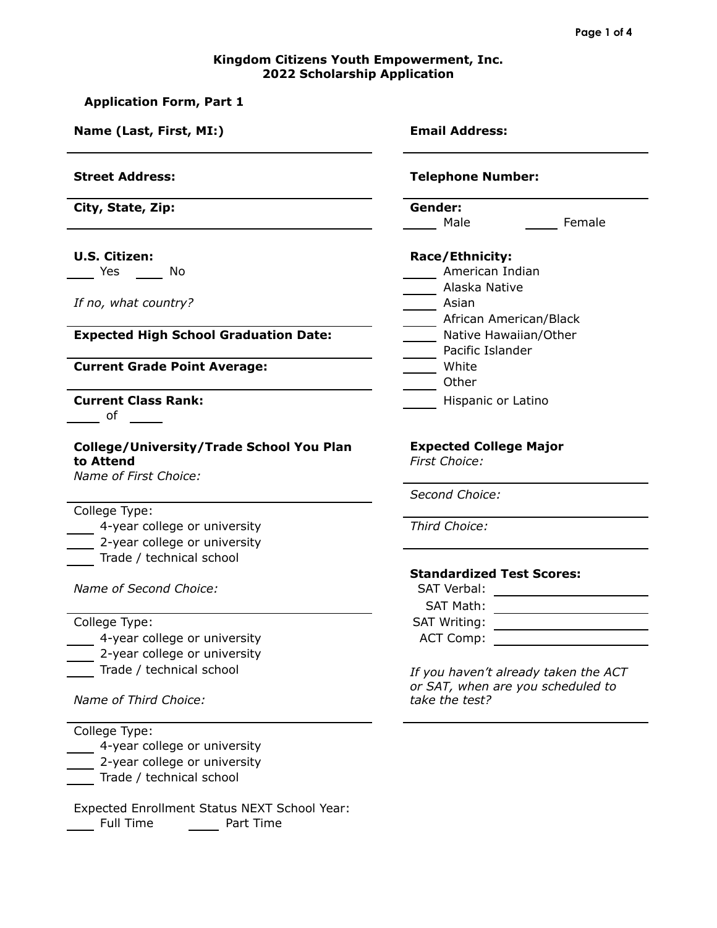## **Kingdom Citizens Youth Empowerment, Inc. 2022 Scholarship Application**

| <b>Application Form, Part 1</b>                                                                                                                                                                                                                              |                                                                                             |  |  |
|--------------------------------------------------------------------------------------------------------------------------------------------------------------------------------------------------------------------------------------------------------------|---------------------------------------------------------------------------------------------|--|--|
| Name (Last, First, MI:)                                                                                                                                                                                                                                      | <b>Email Address:</b>                                                                       |  |  |
| <b>Street Address:</b>                                                                                                                                                                                                                                       | <b>Telephone Number:</b>                                                                    |  |  |
| City, State, Zip:                                                                                                                                                                                                                                            | Gender:<br>Female<br>Male                                                                   |  |  |
| <b>U.S. Citizen:</b><br>No<br>Yes the control of the control of the control of the control of the control of the control of the control of the control of the control of the control of the control of the control of the control of the control of the cont | Race/Ethnicity:<br>American Indian                                                          |  |  |
| If no, what country?                                                                                                                                                                                                                                         | _____ Alaska Native<br>_____ Asian<br>_____ African American/Black                          |  |  |
| <b>Expected High School Graduation Date:</b>                                                                                                                                                                                                                 | ____ Native Hawaiian/Other<br>Pacific Islander                                              |  |  |
| <b>Current Grade Point Average:</b>                                                                                                                                                                                                                          | White<br>Other                                                                              |  |  |
| <b>Current Class Rank:</b><br>of                                                                                                                                                                                                                             | Hispanic or Latino                                                                          |  |  |
| College/University/Trade School You Plan<br>to Attend<br>Name of First Choice:                                                                                                                                                                               | <b>Expected College Major</b><br>First Choice:                                              |  |  |
| College Type:                                                                                                                                                                                                                                                | Second Choice:                                                                              |  |  |
| 4-year college or university<br>2-year college or university<br>Trade / technical school                                                                                                                                                                     | Third Choice:                                                                               |  |  |
| Name of Second Choice:                                                                                                                                                                                                                                       | <b>Standardized Test Scores:</b><br>SAT Verbal:<br><b>SAT Math:</b>                         |  |  |
| College Type:<br>4-year college or university<br>2-year college or university                                                                                                                                                                                | SAT Writing:<br><u> 1989 - Johann Barbara, martin a</u><br><b>ACT Comp:</b>                 |  |  |
| Trade / technical school<br>Name of Third Choice:                                                                                                                                                                                                            | If you haven't already taken the ACT<br>or SAT, when are you scheduled to<br>take the test? |  |  |
| College Type:<br>4-year college or university<br>2-year college or university<br>Trade / technical school                                                                                                                                                    |                                                                                             |  |  |

Expected Enrollment Status NEXT School Year: Full Time **Full Time**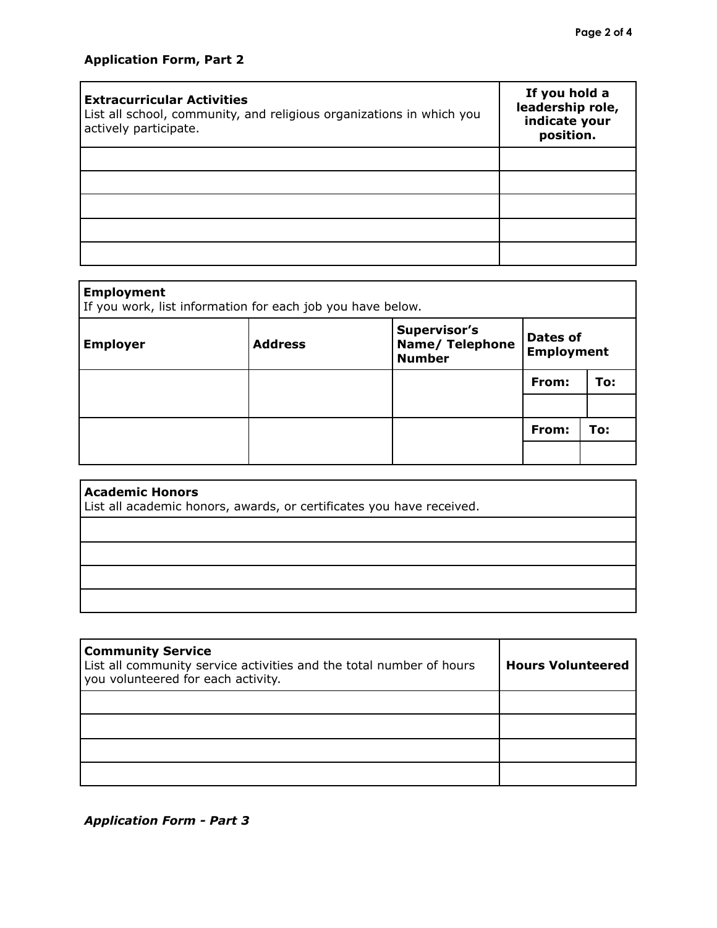| <b>Extracurricular Activities</b><br>List all school, community, and religious organizations in which you<br>actively participate. | If you hold a<br>leadership role,<br>indicate your<br>position. |
|------------------------------------------------------------------------------------------------------------------------------------|-----------------------------------------------------------------|
|                                                                                                                                    |                                                                 |
|                                                                                                                                    |                                                                 |
|                                                                                                                                    |                                                                 |
|                                                                                                                                    |                                                                 |
|                                                                                                                                    |                                                                 |

| <b>Employment</b><br>If you work, list information for each job you have below. |                |                                                                |                                      |     |  |
|---------------------------------------------------------------------------------|----------------|----------------------------------------------------------------|--------------------------------------|-----|--|
| <b>Employer</b>                                                                 | <b>Address</b> | <b>Supervisor's</b><br><b>Name/ Telephone</b><br><b>Number</b> | <b>Dates of</b><br><b>Employment</b> |     |  |
|                                                                                 |                |                                                                | From:                                | To: |  |
|                                                                                 |                |                                                                |                                      |     |  |
|                                                                                 |                |                                                                | From:                                | To: |  |
|                                                                                 |                |                                                                |                                      |     |  |

| <b>Academic Honors</b><br>List all academic honors, awards, or certificates you have received. |  |  |  |  |
|------------------------------------------------------------------------------------------------|--|--|--|--|
|                                                                                                |  |  |  |  |
|                                                                                                |  |  |  |  |
|                                                                                                |  |  |  |  |
|                                                                                                |  |  |  |  |

| <b>Community Service</b><br>List all community service activities and the total number of hours<br>you volunteered for each activity. | <b>Hours Volunteered</b> |
|---------------------------------------------------------------------------------------------------------------------------------------|--------------------------|
|                                                                                                                                       |                          |
|                                                                                                                                       |                          |
|                                                                                                                                       |                          |
|                                                                                                                                       |                          |

*Application Form - Part 3*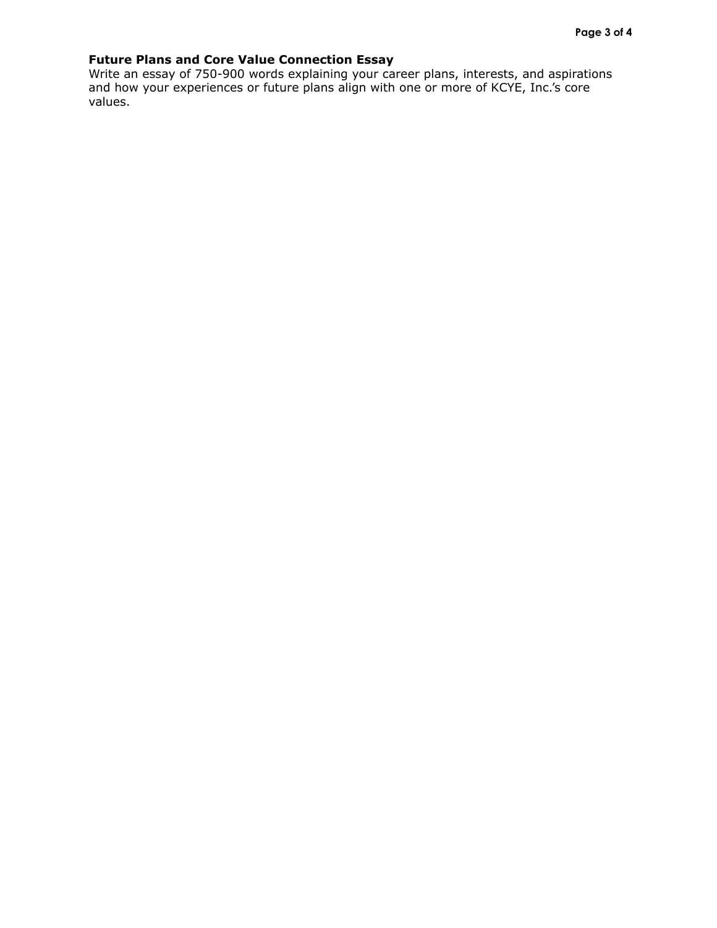## **Future Plans and Core Value Connection Essay**

Write an essay of 750-900 words explaining your career plans, interests, and aspirations and how your experiences or future plans align with one or more of KCYE, Inc.'s core values.